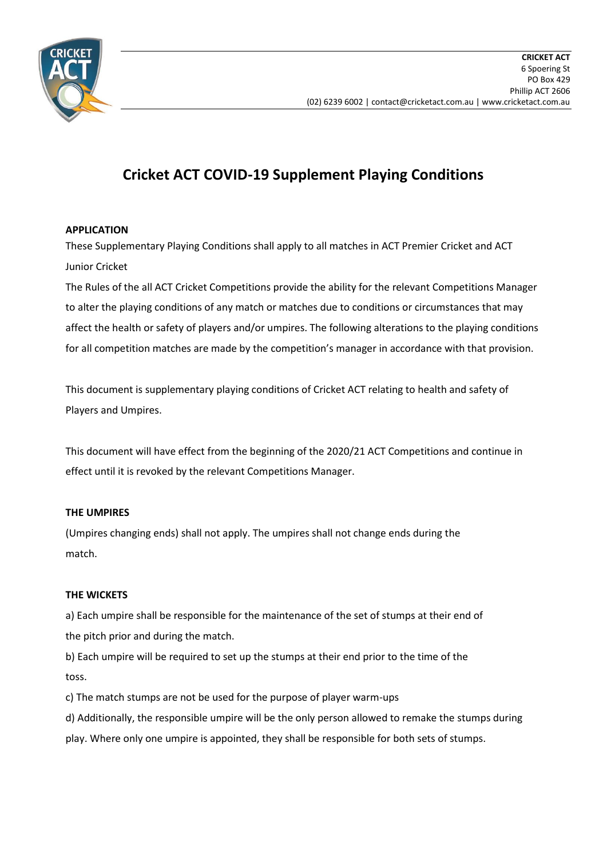

# **Cricket ACT COVID-19 Supplement Playing Conditions**

## **APPLICATION**

These Supplementary Playing Conditions shall apply to all matches in ACT Premier Cricket and ACT Junior Cricket

The Rules of the all ACT Cricket Competitions provide the ability for the relevant Competitions Manager to alter the playing conditions of any match or matches due to conditions or circumstances that may affect the health or safety of players and/or umpires. The following alterations to the playing conditions for all competition matches are made by the competition's manager in accordance with that provision.

This document is supplementary playing conditions of Cricket ACT relating to health and safety of Players and Umpires.

This document will have effect from the beginning of the 2020/21 ACT Competitions and continue in effect until it is revoked by the relevant Competitions Manager.

## **THE UMPIRES**

(Umpires changing ends) shall not apply. The umpires shall not change ends during the match.

## **THE WICKETS**

a) Each umpire shall be responsible for the maintenance of the set of stumps at their end of the pitch prior and during the match.

b) Each umpire will be required to set up the stumps at their end prior to the time of the toss.

c) The match stumps are not be used for the purpose of player warm-ups

d) Additionally, the responsible umpire will be the only person allowed to remake the stumps during play. Where only one umpire is appointed, they shall be responsible for both sets of stumps.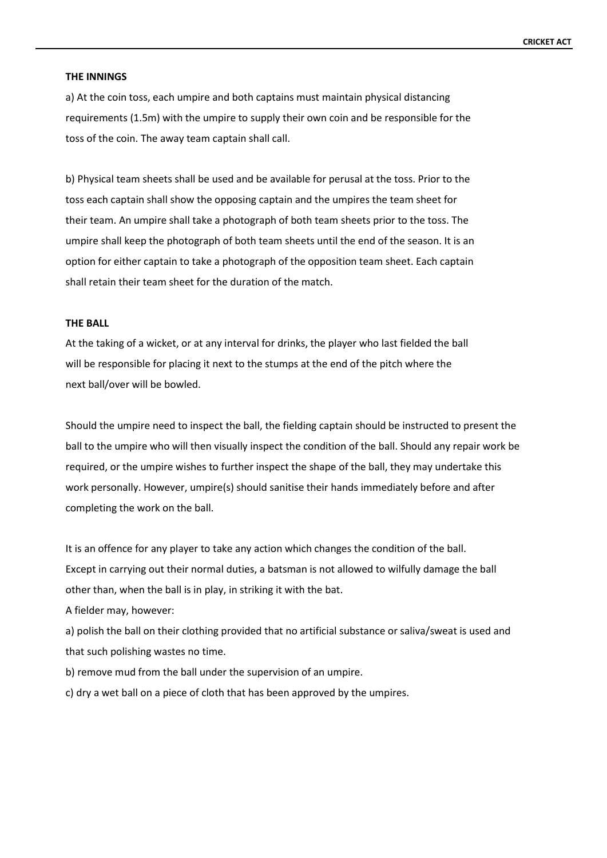#### **THE INNINGS**

a) At the coin toss, each umpire and both captains must maintain physical distancing requirements (1.5m) with the umpire to supply their own coin and be responsible for the toss of the coin. The away team captain shall call.

b) Physical team sheets shall be used and be available for perusal at the toss. Prior to the toss each captain shall show the opposing captain and the umpires the team sheet for their team. An umpire shall take a photograph of both team sheets prior to the toss. The umpire shall keep the photograph of both team sheets until the end of the season. It is an option for either captain to take a photograph of the opposition team sheet. Each captain shall retain their team sheet for the duration of the match.

#### **THE BALL**

At the taking of a wicket, or at any interval for drinks, the player who last fielded the ball will be responsible for placing it next to the stumps at the end of the pitch where the next ball/over will be bowled.

Should the umpire need to inspect the ball, the fielding captain should be instructed to present the ball to the umpire who will then visually inspect the condition of the ball. Should any repair work be required, or the umpire wishes to further inspect the shape of the ball, they may undertake this work personally. However, umpire(s) should sanitise their hands immediately before and after completing the work on the ball.

It is an offence for any player to take any action which changes the condition of the ball. Except in carrying out their normal duties, a batsman is not allowed to wilfully damage the ball other than, when the ball is in play, in striking it with the bat.

A fielder may, however:

a) polish the ball on their clothing provided that no artificial substance or saliva/sweat is used and that such polishing wastes no time.

b) remove mud from the ball under the supervision of an umpire.

c) dry a wet ball on a piece of cloth that has been approved by the umpires.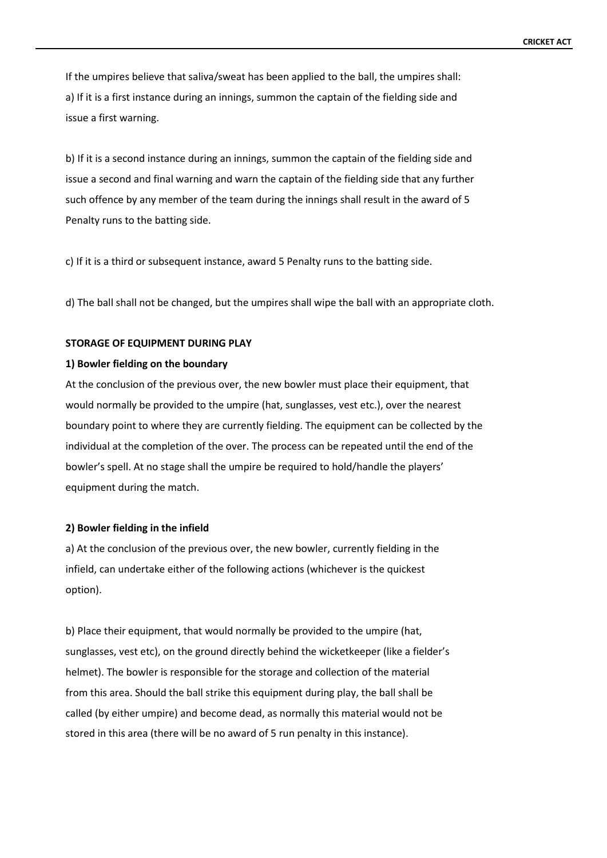If the umpires believe that saliva/sweat has been applied to the ball, the umpires shall: a) If it is a first instance during an innings, summon the captain of the fielding side and issue a first warning.

b) If it is a second instance during an innings, summon the captain of the fielding side and issue a second and final warning and warn the captain of the fielding side that any further such offence by any member of the team during the innings shall result in the award of 5 Penalty runs to the batting side.

c) If it is a third or subsequent instance, award 5 Penalty runs to the batting side.

d) The ball shall not be changed, but the umpires shall wipe the ball with an appropriate cloth.

#### **STORAGE OF EQUIPMENT DURING PLAY**

#### **1) Bowler fielding on the boundary**

At the conclusion of the previous over, the new bowler must place their equipment, that would normally be provided to the umpire (hat, sunglasses, vest etc.), over the nearest boundary point to where they are currently fielding. The equipment can be collected by the individual at the completion of the over. The process can be repeated until the end of the bowler's spell. At no stage shall the umpire be required to hold/handle the players' equipment during the match.

#### **2) Bowler fielding in the infield**

a) At the conclusion of the previous over, the new bowler, currently fielding in the infield, can undertake either of the following actions (whichever is the quickest option).

b) Place their equipment, that would normally be provided to the umpire (hat, sunglasses, vest etc), on the ground directly behind the wicketkeeper (like a fielder's helmet). The bowler is responsible for the storage and collection of the material from this area. Should the ball strike this equipment during play, the ball shall be called (by either umpire) and become dead, as normally this material would not be stored in this area (there will be no award of 5 run penalty in this instance).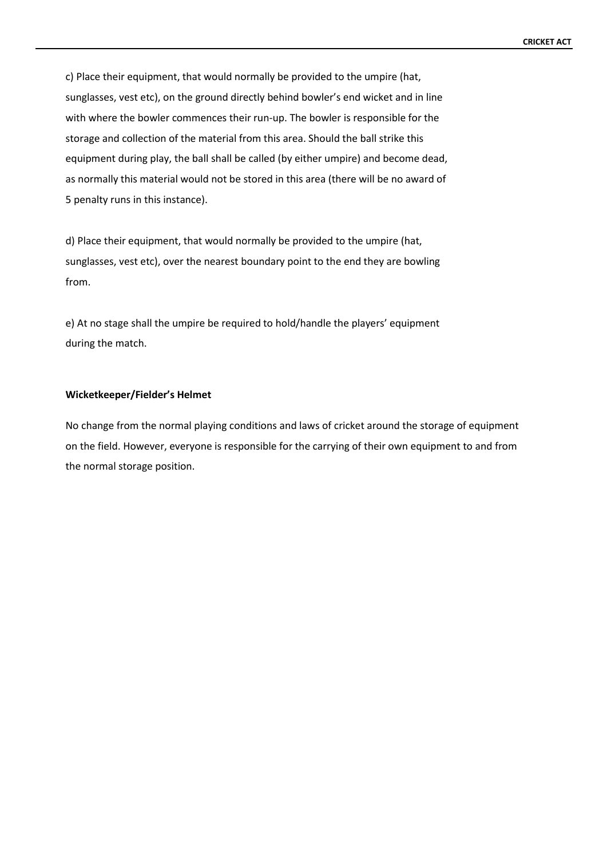c) Place their equipment, that would normally be provided to the umpire (hat, sunglasses, vest etc), on the ground directly behind bowler's end wicket and in line with where the bowler commences their run-up. The bowler is responsible for the storage and collection of the material from this area. Should the ball strike this equipment during play, the ball shall be called (by either umpire) and become dead, as normally this material would not be stored in this area (there will be no award of 5 penalty runs in this instance).

d) Place their equipment, that would normally be provided to the umpire (hat, sunglasses, vest etc), over the nearest boundary point to the end they are bowling from.

e) At no stage shall the umpire be required to hold/handle the players' equipment during the match.

#### **Wicketkeeper/Fielder's Helmet**

No change from the normal playing conditions and laws of cricket around the storage of equipment on the field. However, everyone is responsible for the carrying of their own equipment to and from the normal storage position.